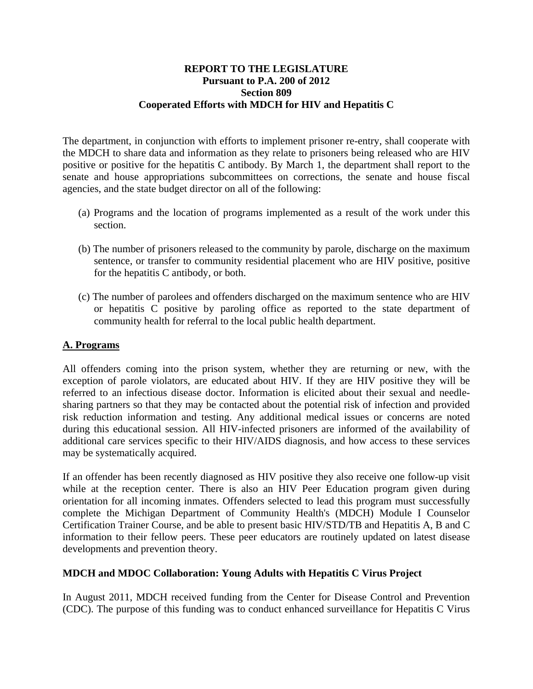### **REPORT TO THE LEGISLATURE Pursuant to P.A. 200 of 2012 Section 809 Cooperated Efforts with MDCH for HIV and Hepatitis C**

The department, in conjunction with efforts to implement prisoner re-entry, shall cooperate with the MDCH to share data and information as they relate to prisoners being released who are HIV positive or positive for the hepatitis C antibody. By March 1, the department shall report to the senate and house appropriations subcommittees on corrections, the senate and house fiscal agencies, and the state budget director on all of the following:

- (a) Programs and the location of programs implemented as a result of the work under this section.
- (b) The number of prisoners released to the community by parole, discharge on the maximum sentence, or transfer to community residential placement who are HIV positive, positive for the hepatitis C antibody, or both.
- (c) The number of parolees and offenders discharged on the maximum sentence who are HIV or hepatitis C positive by paroling office as reported to the state department of community health for referral to the local public health department.

### **A. Programs**

All offenders coming into the prison system, whether they are returning or new, with the exception of parole violators, are educated about HIV. If they are HIV positive they will be referred to an infectious disease doctor. Information is elicited about their sexual and needlesharing partners so that they may be contacted about the potential risk of infection and provided risk reduction information and testing. Any additional medical issues or concerns are noted during this educational session. All HIV-infected prisoners are informed of the availability of additional care services specific to their HIV/AIDS diagnosis, and how access to these services may be systematically acquired.

If an offender has been recently diagnosed as HIV positive they also receive one follow-up visit while at the reception center. There is also an HIV Peer Education program given during orientation for all incoming inmates. Offenders selected to lead this program must successfully complete the Michigan Department of Community Health's (MDCH) Module I Counselor Certification Trainer Course, and be able to present basic HIV/STD/TB and Hepatitis A, B and C information to their fellow peers. These peer educators are routinely updated on latest disease developments and prevention theory.

#### **MDCH and MDOC Collaboration: Young Adults with Hepatitis C Virus Project**

In August 2011, MDCH received funding from the Center for Disease Control and Prevention (CDC). The purpose of this funding was to conduct enhanced surveillance for Hepatitis C Virus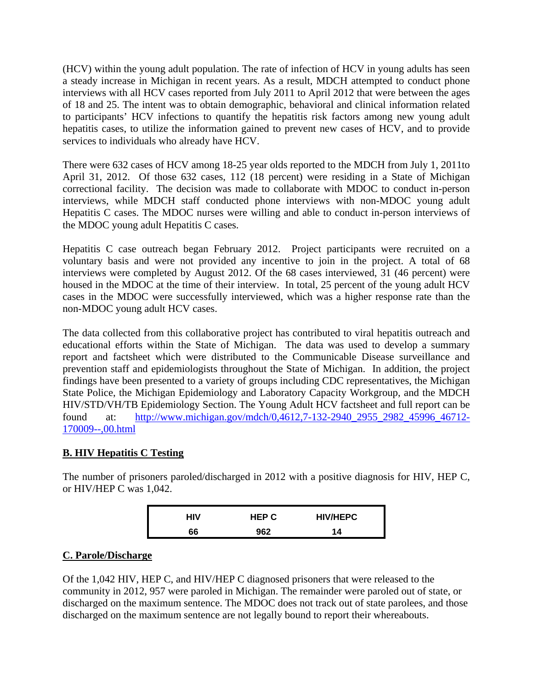(HCV) within the young adult population. The rate of infection of HCV in young adults has seen a steady increase in Michigan in recent years. As a result, MDCH attempted to conduct phone interviews with all HCV cases reported from July 2011 to April 2012 that were between the ages of 18 and 25. The intent was to obtain demographic, behavioral and clinical information related to participants' HCV infections to quantify the hepatitis risk factors among new young adult hepatitis cases, to utilize the information gained to prevent new cases of HCV, and to provide services to individuals who already have HCV.

There were 632 cases of HCV among 18-25 year olds reported to the MDCH from July 1, 2011to April 31, 2012. Of those 632 cases, 112 (18 percent) were residing in a State of Michigan correctional facility. The decision was made to collaborate with MDOC to conduct in-person interviews, while MDCH staff conducted phone interviews with non-MDOC young adult Hepatitis C cases. The MDOC nurses were willing and able to conduct in-person interviews of the MDOC young adult Hepatitis C cases.

Hepatitis C case outreach began February 2012. Project participants were recruited on a voluntary basis and were not provided any incentive to join in the project. A total of 68 interviews were completed by August 2012. Of the 68 cases interviewed, 31 (46 percent) were housed in the MDOC at the time of their interview. In total, 25 percent of the young adult HCV cases in the MDOC were successfully interviewed, which was a higher response rate than the non-MDOC young adult HCV cases.

The data collected from this collaborative project has contributed to viral hepatitis outreach and educational efforts within the State of Michigan. The data was used to develop a summary report and factsheet which were distributed to the Communicable Disease surveillance and prevention staff and epidemiologists throughout the State of Michigan. In addition, the project findings have been presented to a variety of groups including CDC representatives, the Michigan State Police, the Michigan Epidemiology and Laboratory Capacity Workgroup, and the MDCH HIV/STD/VH/TB Epidemiology Section. The Young Adult HCV factsheet and full report can be found at: http://www.michigan.gov/mdch/0,4612,7-132-2940\_2955\_2982\_45996\_46712- 170009--,00.html

# **B. HIV Hepatitis C Testing**

The number of prisoners paroled/discharged in 2012 with a positive diagnosis for HIV, HEP C, or HIV/HEP C was 1,042.

| HIV | <b>HEP C</b> | <b>HIV/HEPC</b> |
|-----|--------------|-----------------|
| 66  | 962          | 14              |

# **C. Parole/Discharge**

Of the 1,042 HIV, HEP C, and HIV/HEP C diagnosed prisoners that were released to the community in 2012, 957 were paroled in Michigan. The remainder were paroled out of state, or discharged on the maximum sentence. The MDOC does not track out of state parolees, and those discharged on the maximum sentence are not legally bound to report their whereabouts.